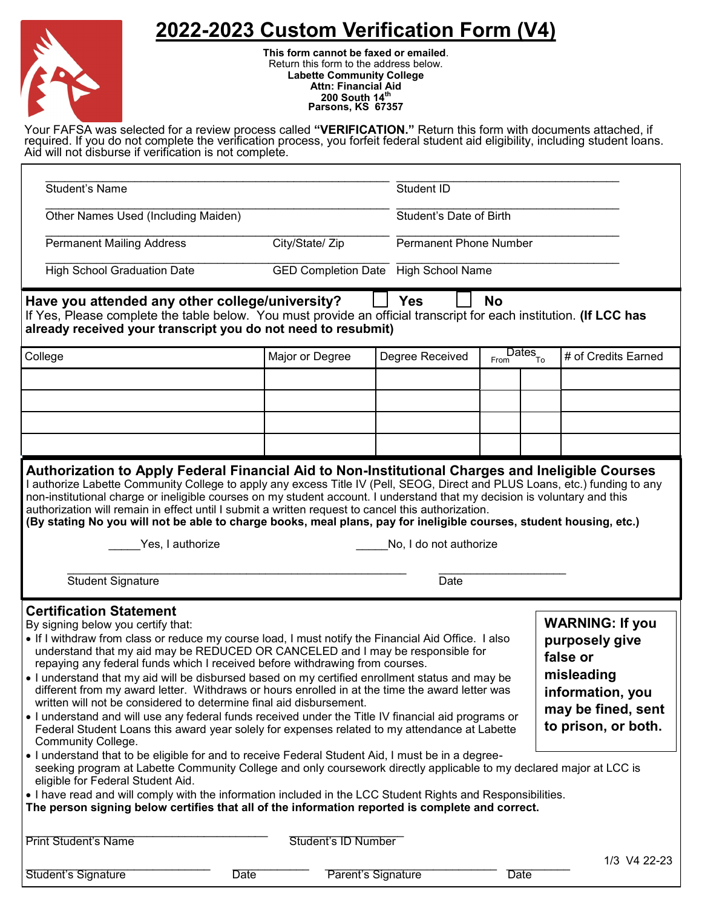## **2022-2023 Custom Verification Form (V4)**



**This form cannot be faxed or emailed**. Return this form to the address below. **Labette Community College Attn: Financial Aid 200 South 14th Parsons, KS 67357**

Your FAFSA was selected for a review process called **"VERIFICATION."** Return this form with documents attached, if required. If you do not complete the verification process, you forfeit federal student aid eligibility, including student loans. Aid will not disburse if verification is not complete.

| <b>Student's Name</b>                                                                                                                                                                                                                                                                                                                                                                                                                                                                                                                                                                                                                                                                                                                                                                                                                                                                                                                                                                                                                                                                                                                                                                                                                                                                                                                                                                                                                                                               |                                             | Student ID          |                         |                               |                                       |                     |              |  |  |
|-------------------------------------------------------------------------------------------------------------------------------------------------------------------------------------------------------------------------------------------------------------------------------------------------------------------------------------------------------------------------------------------------------------------------------------------------------------------------------------------------------------------------------------------------------------------------------------------------------------------------------------------------------------------------------------------------------------------------------------------------------------------------------------------------------------------------------------------------------------------------------------------------------------------------------------------------------------------------------------------------------------------------------------------------------------------------------------------------------------------------------------------------------------------------------------------------------------------------------------------------------------------------------------------------------------------------------------------------------------------------------------------------------------------------------------------------------------------------------------|---------------------------------------------|---------------------|-------------------------|-------------------------------|---------------------------------------|---------------------|--------------|--|--|
| Other Names Used (Including Maiden)                                                                                                                                                                                                                                                                                                                                                                                                                                                                                                                                                                                                                                                                                                                                                                                                                                                                                                                                                                                                                                                                                                                                                                                                                                                                                                                                                                                                                                                 |                                             |                     |                         | Student's Date of Birth       |                                       |                     |              |  |  |
| <b>Permanent Mailing Address</b>                                                                                                                                                                                                                                                                                                                                                                                                                                                                                                                                                                                                                                                                                                                                                                                                                                                                                                                                                                                                                                                                                                                                                                                                                                                                                                                                                                                                                                                    | City/State/ Zip                             |                     |                         | <b>Permanent Phone Number</b> |                                       |                     |              |  |  |
| <b>High School Graduation Date</b>                                                                                                                                                                                                                                                                                                                                                                                                                                                                                                                                                                                                                                                                                                                                                                                                                                                                                                                                                                                                                                                                                                                                                                                                                                                                                                                                                                                                                                                  | <b>GED Completion Date</b> High School Name |                     |                         |                               |                                       |                     |              |  |  |
| <b>Yes</b><br>Have you attended any other college/university?<br><b>No</b><br>If Yes, Please complete the table below. You must provide an official transcript for each institution. (If LCC has<br>already received your transcript you do not need to resubmit)                                                                                                                                                                                                                                                                                                                                                                                                                                                                                                                                                                                                                                                                                                                                                                                                                                                                                                                                                                                                                                                                                                                                                                                                                   |                                             |                     |                         |                               |                                       |                     |              |  |  |
| College                                                                                                                                                                                                                                                                                                                                                                                                                                                                                                                                                                                                                                                                                                                                                                                                                                                                                                                                                                                                                                                                                                                                                                                                                                                                                                                                                                                                                                                                             |                                             | Major or Degree     | Degree Received<br>From |                               | $\overline{\text{Dates}}_{\text{To}}$ | # of Credits Earned |              |  |  |
|                                                                                                                                                                                                                                                                                                                                                                                                                                                                                                                                                                                                                                                                                                                                                                                                                                                                                                                                                                                                                                                                                                                                                                                                                                                                                                                                                                                                                                                                                     |                                             |                     |                         |                               |                                       |                     |              |  |  |
|                                                                                                                                                                                                                                                                                                                                                                                                                                                                                                                                                                                                                                                                                                                                                                                                                                                                                                                                                                                                                                                                                                                                                                                                                                                                                                                                                                                                                                                                                     |                                             |                     |                         |                               |                                       |                     |              |  |  |
|                                                                                                                                                                                                                                                                                                                                                                                                                                                                                                                                                                                                                                                                                                                                                                                                                                                                                                                                                                                                                                                                                                                                                                                                                                                                                                                                                                                                                                                                                     |                                             |                     |                         |                               |                                       |                     |              |  |  |
|                                                                                                                                                                                                                                                                                                                                                                                                                                                                                                                                                                                                                                                                                                                                                                                                                                                                                                                                                                                                                                                                                                                                                                                                                                                                                                                                                                                                                                                                                     |                                             |                     |                         |                               |                                       |                     |              |  |  |
| I authorize Labette Community College to apply any excess Title IV (Pell, SEOG, Direct and PLUS Loans, etc.) funding to any<br>non-institutional charge or ineligible courses on my student account. I understand that my decision is voluntary and this<br>authorization will remain in effect until I submit a written request to cancel this authorization.<br>(By stating No you will not be able to charge books, meal plans, pay for ineligible courses, student housing, etc.)<br>Yes, I authorize<br>No, I do not authorize<br><b>Student Signature</b><br>Date                                                                                                                                                                                                                                                                                                                                                                                                                                                                                                                                                                                                                                                                                                                                                                                                                                                                                                             |                                             |                     |                         |                               |                                       |                     |              |  |  |
| <b>Certification Statement</b><br><b>WARNING: If you</b><br>By signing below you certify that:<br>. If I withdraw from class or reduce my course load, I must notify the Financial Aid Office. I also<br>purposely give<br>understand that my aid may be REDUCED OR CANCELED and I may be responsible for<br>false or<br>repaying any federal funds which I received before withdrawing from courses.<br>misleading<br>. I understand that my aid will be disbursed based on my certified enrollment status and may be<br>different from my award letter. Withdraws or hours enrolled in at the time the award letter was<br>information, you<br>written will not be considered to determine final aid disbursement.<br>may be fined, sent<br>• I understand and will use any federal funds received under the Title IV financial aid programs or<br>to prison, or both.<br>Federal Student Loans this award year solely for expenses related to my attendance at Labette<br>Community College.<br>. I understand that to be eligible for and to receive Federal Student Aid, I must be in a degree-<br>seeking program at Labette Community College and only coursework directly applicable to my declared major at LCC is<br>eligible for Federal Student Aid.<br>. I have read and will comply with the information included in the LCC Student Rights and Responsibilities.<br>The person signing below certifies that all of the information reported is complete and correct. |                                             |                     |                         |                               |                                       |                     |              |  |  |
| <b>Print Student's Name</b>                                                                                                                                                                                                                                                                                                                                                                                                                                                                                                                                                                                                                                                                                                                                                                                                                                                                                                                                                                                                                                                                                                                                                                                                                                                                                                                                                                                                                                                         |                                             | Student's ID Number |                         |                               |                                       |                     | 1/3 V4 22-23 |  |  |
| Student's Signature                                                                                                                                                                                                                                                                                                                                                                                                                                                                                                                                                                                                                                                                                                                                                                                                                                                                                                                                                                                                                                                                                                                                                                                                                                                                                                                                                                                                                                                                 | <b>Date</b>                                 |                     | Parent's Signature      |                               | <b>Date</b>                           |                     |              |  |  |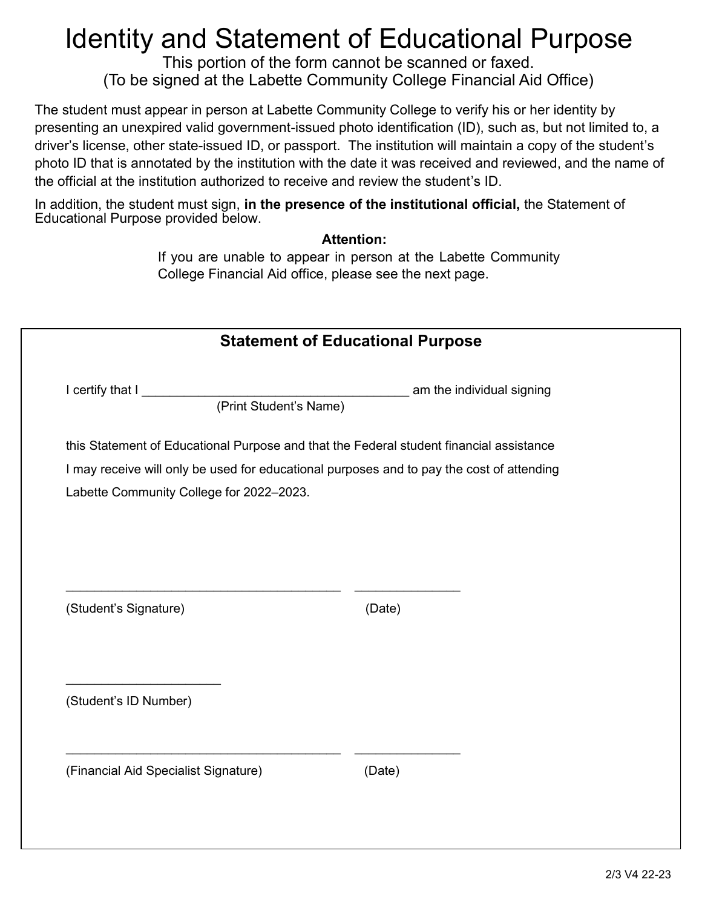## Identity and Statement of Educational Purpose

This portion of the form cannot be scanned or faxed. (To be signed at the Labette Community College Financial Aid Office)

The student must appear in person at Labette Community College to verify his or her identity by presenting an unexpired valid government-issued photo identification (ID), such as, but not limited to, a driver's license, other state-issued ID, or passport. The institution will maintain a copy of the student's photo ID that is annotated by the institution with the date it was received and reviewed, and the name of the official at the institution authorized to receive and review the student's ID.

In addition, the student must sign, **in the presence of the institutional official,** the Statement of Educational Purpose provided below.

## **Attention:**

If you are unable to appear in person at the Labette Community College Financial Aid office, please see the next page.

| <b>Statement of Educational Purpose</b>                                                   |        |                           |  |  |  |
|-------------------------------------------------------------------------------------------|--------|---------------------------|--|--|--|
| I certify that I<br>(Print Student's Name)                                                |        | am the individual signing |  |  |  |
| this Statement of Educational Purpose and that the Federal student financial assistance   |        |                           |  |  |  |
| I may receive will only be used for educational purposes and to pay the cost of attending |        |                           |  |  |  |
| Labette Community College for 2022-2023.                                                  |        |                           |  |  |  |
|                                                                                           |        |                           |  |  |  |
|                                                                                           |        |                           |  |  |  |
| (Student's Signature)                                                                     | (Date) |                           |  |  |  |
| (Student's ID Number)                                                                     |        |                           |  |  |  |
|                                                                                           |        |                           |  |  |  |
|                                                                                           |        |                           |  |  |  |
| (Financial Aid Specialist Signature)                                                      | (Date) |                           |  |  |  |